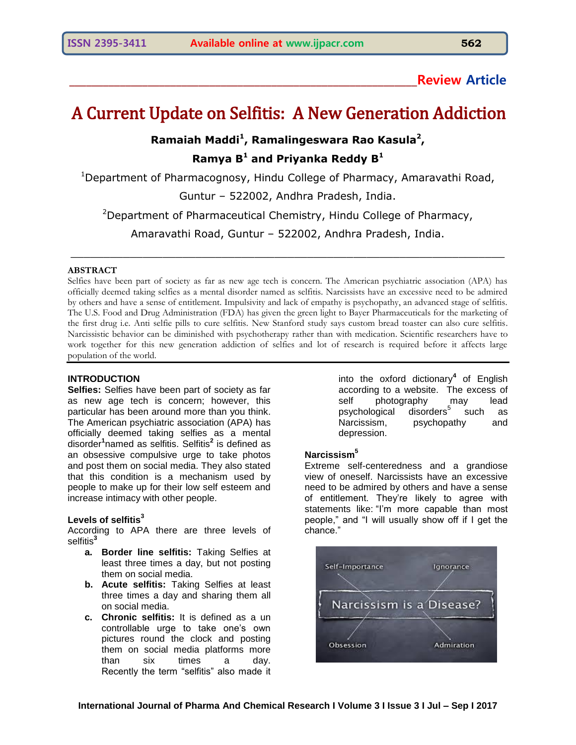# **\_\_\_\_\_\_\_\_\_\_\_\_\_\_\_\_\_\_\_\_\_\_\_\_\_\_\_\_\_\_\_\_\_\_\_\_\_\_\_\_\_\_\_\_\_\_\_\_\_\_\_\_\_\_\_\_\_\_\_\_\_\_Review Article**

# A Current Update on Selfitis: A New Generation Addiction

# **Ramaiah Maddi<sup>1</sup> , Ramalingeswara Rao Kasula<sup>2</sup> , Ramya B<sup>1</sup> and Priyanka Reddy B<sup>1</sup>**

<sup>1</sup>Department of Pharmacognosy, Hindu College of Pharmacy, Amaravathi Road,

Guntur – 522002, Andhra Pradesh, India.

<sup>2</sup>Department of Pharmaceutical Chemistry, Hindu College of Pharmacy,

Amaravathi Road, Guntur – 522002, Andhra Pradesh, India.

 $\mathcal{L}_\mathcal{L} = \{ \mathcal{L}_\mathcal{L} = \{ \mathcal{L}_\mathcal{L} = \{ \mathcal{L}_\mathcal{L} = \{ \mathcal{L}_\mathcal{L} = \{ \mathcal{L}_\mathcal{L} = \{ \mathcal{L}_\mathcal{L} = \{ \mathcal{L}_\mathcal{L} = \{ \mathcal{L}_\mathcal{L} = \{ \mathcal{L}_\mathcal{L} = \{ \mathcal{L}_\mathcal{L} = \{ \mathcal{L}_\mathcal{L} = \{ \mathcal{L}_\mathcal{L} = \{ \mathcal{L}_\mathcal{L} = \{ \mathcal{L}_\mathcal{$ 

#### **ABSTRACT**

Selfies have been part of society as far as new age tech is concern. The American psychiatric association (APA) has officially deemed taking selfies as a mental disorder named as selfitis. Narcissists have an excessive need to be admired by others and have a sense of entitlement. Impulsivity and lack of empathy is psychopathy, an advanced stage of selfitis. The U.S. Food and Drug Administration (FDA) has given the green light to Bayer Pharmaceuticals for the marketing of the first drug i.e. Anti selfie pills to cure selfitis. New Stanford study says custom bread toaster can also cure selfitis. Narcissistic behavior can be diminished with psychotherapy rather than with medication. Scientific researchers have to work together for this new generation addiction of selfies and lot of research is required before it affects large population of the world.

## **INTRODUCTION**

**Selfies:** Selfies have been part of society as far as new age tech is concern; however, this particular has been around more than you think. The American psychiatric association (APA) has officially deemed taking selfies as a mental disorder**<sup>1</sup>** named as selfitis. Selfitis**<sup>2</sup>** is defined as an obsessive compulsive urge to take photos and post them on social media. They also stated that this condition is a mechanism used by people to make up for their low self esteem and increase intimacy with other people.

#### **Levels of selfitis<sup>3</sup>**

According to APA there are three levels of selfitis<sup>3</sup>

- **a. Border line selfitis:** Taking Selfies at least three times a day, but not posting them on social media.
- **b. Acute selfitis:** Taking Selfies at least three times a day and sharing them all on social media.
- **c. Chronic selfitis:** It is defined as a un controllable urge to take one"s own pictures round the clock and posting them on social media platforms more than six times a day. Recently the term "selfitis" also made it

into the oxford dictionary**<sup>4</sup>** of English according to a website. The excess of self photography may lead psychological  $disorders<sup>5</sup> such as$ Narcissism, psychopathy and depression.

#### **Narcissism<sup>5</sup>**

Extreme self-centeredness and a grandiose view of oneself. Narcissists have an excessive need to be admired by others and have a sense of entitlement. They"re likely to agree with statements like: "I"m more capable than most people," and "I will usually show off if I get the chance."

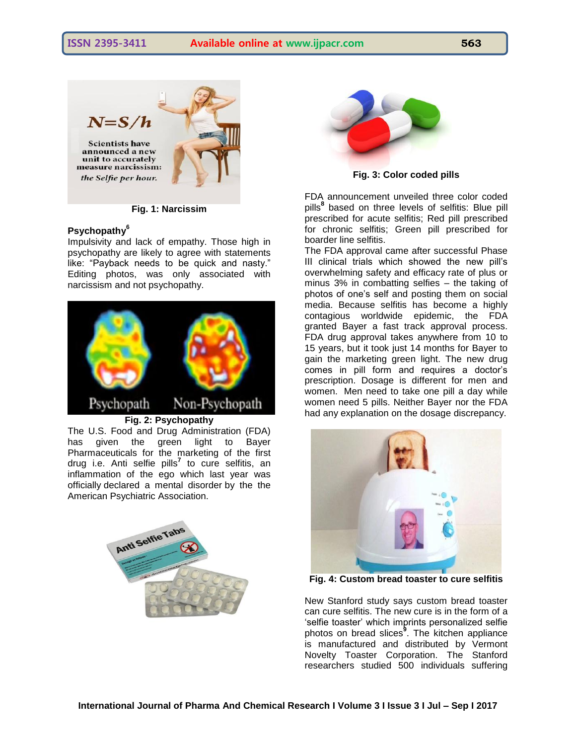

**Fig. 1: Narcissim**

#### **Psychopathy<sup>6</sup>**

Impulsivity and lack of empathy. Those high in psychopathy are likely to agree with statements like: "Payback needs to be quick and nasty." Editing photos, was only associated with narcissism and not psychopathy.



The U.S. Food and Drug Administration (FDA) has given the green light to Bayer Pharmaceuticals for the marketing of the first drug i.e. Anti selfie pills**<sup>7</sup>** to cure selfitis, an inflammation of the ego which last year was officially declared a mental disorde[r](https://adobochronicles.com/2014/03/31/american-psychiatric-association-makes-it-official-selfie-a-mental-disorder/) by the the American Psychiatric Association.





**Fig. 3: Color coded pills**

FDA announcement unveiled three color coded pills**<sup>8</sup>** based on three levels of selfitis: Blue pill prescribed for acute selfitis; Red pill prescribed for chronic selfitis; Green pill prescribed for boarder line selfitis.

The FDA approval came after successful Phase III clinical trials which showed the new pill"s overwhelming safety and efficacy rate of plus or minus 3% in combatting selfies – the taking of photos of one"s self and posting them on social media. Because selfitis has become a highly contagious worldwide epidemic, the FDA granted Bayer a fast track approval process. FDA drug approval takes anywhere from 10 to 15 years, but it took just 14 months for Bayer to gain the marketing green light. The new drug comes in pill form and requires a doctor"s prescription. Dosage is different for men and women. Men need to take one pill a day while women need 5 pills. Neither Bayer nor the FDA had any explanation on the dosage discrepancy.



**Fig. 4: Custom bread toaster to cure selfitis**

New Stanford study says custom bread toaster can cure selfitis. The new cure is in the form of a "selfie toaster" which imprints personalized selfie photos on bread slices**<sup>9</sup>** . The kitchen appliance is manufactured and distributed by Vermont Novelty Toaster Corporation. The Stanford researchers studied 500 individuals suffering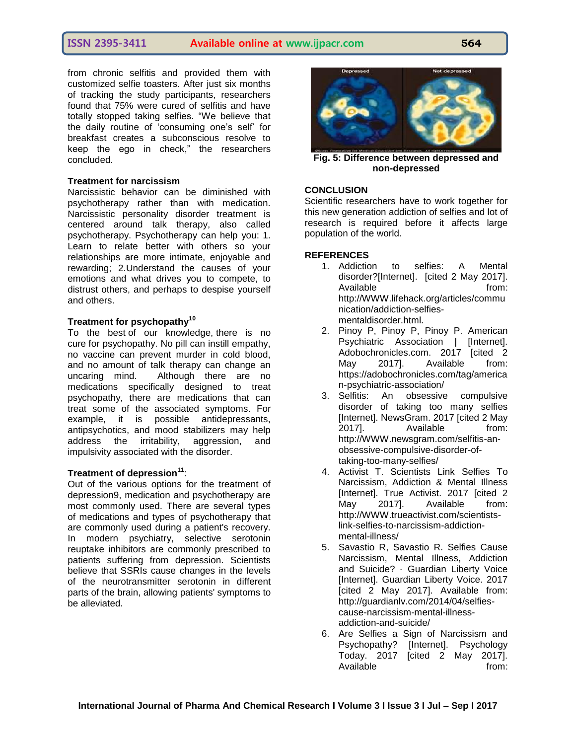from chronic selfitis and provided them with customized selfie toasters. After just six months of tracking the study participants, researchers found that 75% were cured of selfitis and have totally stopped taking selfies. "We believe that the daily routine of "consuming one"s self" for breakfast creates a subconscious resolve to keep the ego in check," the researchers concluded.

#### **Treatment for narcissism**

Narcissistic behavior can be diminished with psychotherapy rather than with medication. Narcissistic personality disorder treatment is centered around talk therapy, also called psychotherapy. Psychotherapy can help you: 1. Learn to relate better with others so your relationships are more intimate, enjoyable and rewarding; 2.Understand the causes of your emotions and what drives you to compete, to distrust others, and perhaps to despise yourself and others.

# **Treatment for psychopathy<sup>10</sup>**

To the best of our knowledge, there is no cure for psychopathy. No pill can instill empathy, no vaccine can prevent murder in cold blood, and no amount of talk therapy can change an uncaring mind. Although there are no medications specifically designed to treat psychopathy, there are medications that can treat some of the associated symptoms. For example, it is possible antidepressants, antipsychotics, and mood stabilizers may help address the irritability, aggression, and impulsivity associated with the disorder.

## **Treatment of depression<sup>11</sup>**:

Out of the various options for the treatment of depression9, medication and psychotherapy are most commonly used. There are several types of medications and types of psychotherapy that are commonly used during a patient's recovery. In modern psychiatry, selective serotonin reuptake inhibitors are commonly prescribed to patients suffering from depression. Scientists believe that SSRIs cause changes in the levels of the neurotransmitter serotonin in different parts of the brain, allowing patients' symptoms to be alleviated.



**Fig. 5: Difference between depressed and non-depressed** 

#### **CONCLUSION**

Scientific researchers have to work together for this new generation addiction of selfies and lot of research is required before it affects large population of the world.

#### **REFERENCES**

- 1. Addiction to selfies: A Mental disorder?[Internet]. [cited 2 May 2017]. Available from: http://WWW.lifehack.org/articles/commu nication/addiction-selfiesmentaldisorder.html.
- 2. Pinoy P, Pinoy P, Pinoy P. American Psychiatric Association | [Internet]. Adobochronicles.com. 2017 [cited 2 May 2017]. Available from: https://adobochronicles.com/tag/america n-psychiatric-association/
- 3. Selfitis: An obsessive compulsive disorder of taking too many selfies [Internet]. NewsGram. 2017 [cited 2 May 2017]. Available from: http://WWW.newsgram.com/selfitis-anobsessive-compulsive-disorder-oftaking-too-many-selfies/
- 4. Activist T. Scientists Link Selfies To Narcissism, Addiction & Mental Illness [Internet]. True Activist. 2017 [cited 2 May 2017]. Available from: http://WWW.trueactivist.com/scientistslink-selfies-to-narcissism-addictionmental-illness/
- 5. Savastio R, Savastio R. Selfies Cause Narcissism, Mental Illness, Addiction and Suicide? · Guardian Liberty Voice [Internet]. Guardian Liberty Voice. 2017 [cited 2 May 2017]. Available from: http://guardianlv.com/2014/04/selfiescause-narcissism-mental-illnessaddiction-and-suicide/
- 6. Are Selfies a Sign of Narcissism and Psychopathy? [Internet]. Psychology Today. 2017 [cited 2 May 2017]. Available from: